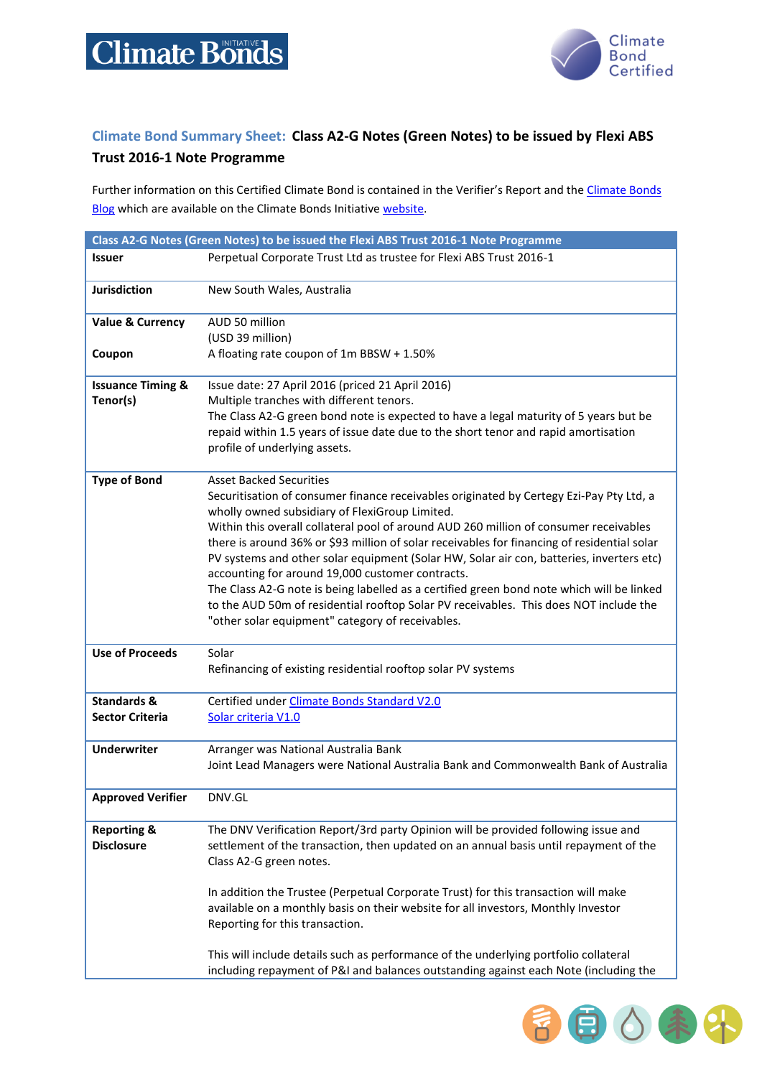

自心条件

F

## **Climate Bond Summary Sheet: Class A2-G Notes (Green Notes) to be issued by Flexi ABS**

## **Trust 2016-1 Note Programme**

Further information on this Certified Climate Bond is contained in the Verifier's Report and the Climate Bonds [Blog](http://www.climatebonds.net/2016/04/sunny-side-flexigroup-issues-first-australian-green-abs-proceeds-solar-5bps-pricing-benefit) which are available on the Climate Bonds Initiative [website.](http://www.climatebonds.net/)

| Class A2-G Notes (Green Notes) to be issued the Flexi ABS Trust 2016-1 Note Programme |                                                                                                                                                                                                               |  |
|---------------------------------------------------------------------------------------|---------------------------------------------------------------------------------------------------------------------------------------------------------------------------------------------------------------|--|
| <b>Issuer</b>                                                                         | Perpetual Corporate Trust Ltd as trustee for Flexi ABS Trust 2016-1                                                                                                                                           |  |
| <b>Jurisdiction</b>                                                                   | New South Wales, Australia                                                                                                                                                                                    |  |
| <b>Value &amp; Currency</b>                                                           | AUD 50 million<br>(USD 39 million)                                                                                                                                                                            |  |
| Coupon                                                                                | A floating rate coupon of 1m BBSW + 1.50%                                                                                                                                                                     |  |
| <b>Issuance Timing &amp;</b>                                                          | Issue date: 27 April 2016 (priced 21 April 2016)                                                                                                                                                              |  |
| Tenor(s)                                                                              | Multiple tranches with different tenors.                                                                                                                                                                      |  |
|                                                                                       | The Class A2-G green bond note is expected to have a legal maturity of 5 years but be<br>repaid within 1.5 years of issue date due to the short tenor and rapid amortisation<br>profile of underlying assets. |  |
|                                                                                       |                                                                                                                                                                                                               |  |
| <b>Type of Bond</b>                                                                   | <b>Asset Backed Securities</b><br>Securitisation of consumer finance receivables originated by Certegy Ezi-Pay Pty Ltd, a<br>wholly owned subsidiary of FlexiGroup Limited.                                   |  |
|                                                                                       | Within this overall collateral pool of around AUD 260 million of consumer receivables<br>there is around 36% or \$93 million of solar receivables for financing of residential solar                          |  |
|                                                                                       | PV systems and other solar equipment (Solar HW, Solar air con, batteries, inverters etc)                                                                                                                      |  |
|                                                                                       | accounting for around 19,000 customer contracts.                                                                                                                                                              |  |
|                                                                                       | The Class A2-G note is being labelled as a certified green bond note which will be linked                                                                                                                     |  |
|                                                                                       | to the AUD 50m of residential rooftop Solar PV receivables. This does NOT include the                                                                                                                         |  |
|                                                                                       | "other solar equipment" category of receivables.                                                                                                                                                              |  |
| <b>Use of Proceeds</b>                                                                | Solar                                                                                                                                                                                                         |  |
|                                                                                       | Refinancing of existing residential rooftop solar PV systems                                                                                                                                                  |  |
| <b>Standards &amp;</b>                                                                | Certified under Climate Bonds Standard V2.0                                                                                                                                                                   |  |
| <b>Sector Criteria</b>                                                                | Solar criteria V1.0                                                                                                                                                                                           |  |
| <b>Underwriter</b>                                                                    | Arranger was National Australia Bank                                                                                                                                                                          |  |
|                                                                                       | Joint Lead Managers were National Australia Bank and Commonwealth Bank of Australia                                                                                                                           |  |
| <b>Approved Verifier</b>                                                              | DNV.GL                                                                                                                                                                                                        |  |
| <b>Reporting &amp;</b><br><b>Disclosure</b>                                           | The DNV Verification Report/3rd party Opinion will be provided following issue and<br>settlement of the transaction, then updated on an annual basis until repayment of the<br>Class A2-G green notes.        |  |
|                                                                                       | In addition the Trustee (Perpetual Corporate Trust) for this transaction will make<br>available on a monthly basis on their website for all investors, Monthly Investor<br>Reporting for this transaction.    |  |
|                                                                                       | This will include details such as performance of the underlying portfolio collateral<br>including repayment of P&I and balances outstanding against each Note (including the                                  |  |